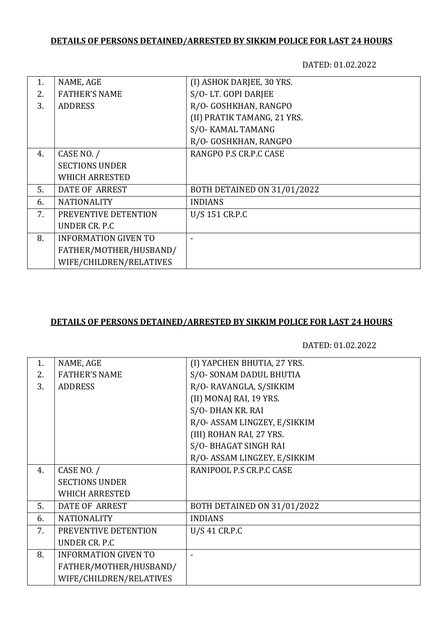# **DETAILS OF PERSONS DETAINED/ARRESTED BY SIKKIM POLICE FOR LAST 24 HOURS**

DATED: 01.02.2022

| 1. | NAME, AGE                   | (I) ASHOK DARJEE, 30 YRS.   |
|----|-----------------------------|-----------------------------|
| 2. | <b>FATHER'S NAME</b>        | S/O-LT. GOPI DARJEE         |
| 3. | <b>ADDRESS</b>              | R/O- GOSHKHAN, RANGPO       |
|    |                             | (II) PRATIK TAMANG, 21 YRS. |
|    |                             | S/O- KAMAL TAMANG           |
|    |                             | R/O- GOSHKHAN, RANGPO       |
| 4. | CASE NO. /                  | RANGPO P.S CR.P.C CASE      |
|    | <b>SECTIONS UNDER</b>       |                             |
|    | <b>WHICH ARRESTED</b>       |                             |
| 5. | <b>DATE OF ARREST</b>       | BOTH DETAINED ON 31/01/2022 |
| 6. | <b>NATIONALITY</b>          | <b>INDIANS</b>              |
| 7. | PREVENTIVE DETENTION        | U/S 151 CR.P.C              |
|    | UNDER CR. P.C.              |                             |
| 8. | <b>INFORMATION GIVEN TO</b> |                             |
|    | FATHER/MOTHER/HUSBAND/      |                             |
|    | WIFE/CHILDREN/RELATIVES     |                             |
|    |                             |                             |

### **DETAILS OF PERSONS DETAINED/ARRESTED BY SIKKIM POLICE FOR LAST 24 HOURS**

DATED: 01.02.2022

| 1. | NAME, AGE                   | (I) YAPCHEN BHUTIA, 27 YRS.  |
|----|-----------------------------|------------------------------|
| 2. | <b>FATHER'S NAME</b>        | S/O-SONAM DADUL BHUTIA       |
| 3. | <b>ADDRESS</b>              | R/O-RAVANGLA, S/SIKKIM       |
|    |                             | (II) MONAJ RAI, 19 YRS.      |
|    |                             | S/O-DHAN KR. RAI             |
|    |                             | R/O- ASSAM LINGZEY, E/SIKKIM |
|    |                             | (III) ROHAN RAI, 27 YRS.     |
|    |                             | S/O- BHAGAT SINGH RAI        |
|    |                             | R/O- ASSAM LINGZEY, E/SIKKIM |
| 4. | CASE NO. /                  | RANIPOOL P.S CR.P.C CASE     |
|    | <b>SECTIONS UNDER</b>       |                              |
|    | <b>WHICH ARRESTED</b>       |                              |
| 5. | DATE OF ARREST              | BOTH DETAINED ON 31/01/2022  |
| 6. | <b>NATIONALITY</b>          | <b>INDIANS</b>               |
| 7. | PREVENTIVE DETENTION        | U/S 41 CR.P.C                |
|    | UNDER CR. P.C               |                              |
| 8. | <b>INFORMATION GIVEN TO</b> |                              |
|    | FATHER/MOTHER/HUSBAND/      |                              |
|    | WIFE/CHILDREN/RELATIVES     |                              |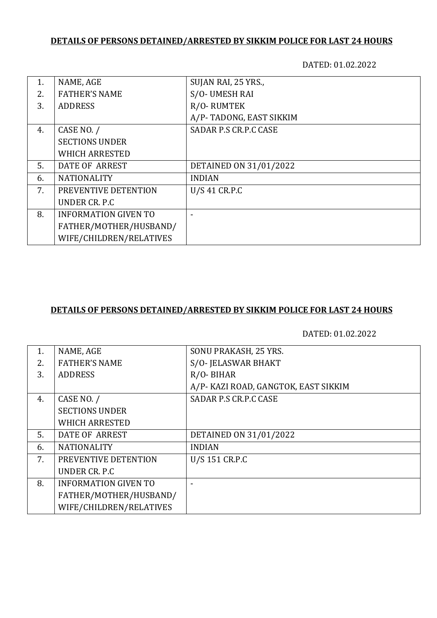# **DETAILS OF PERSONS DETAINED/ARRESTED BY SIKKIM POLICE FOR LAST 24 HOURS**

DATED: 01.02.2022

| 1. | NAME, AGE                   | SUJAN RAI, 25 YRS.,     |
|----|-----------------------------|-------------------------|
| 2. | <b>FATHER'S NAME</b>        | S/O-UMESH RAI           |
| 3. | <b>ADDRESS</b>              | R/O-RUMTEK              |
|    |                             | A/P-TADONG, EAST SIKKIM |
| 4. | CASE NO. /                  | SADAR P.S CR.P.C CASE   |
|    | <b>SECTIONS UNDER</b>       |                         |
|    | <b>WHICH ARRESTED</b>       |                         |
| 5. | DATE OF ARREST              | DETAINED ON 31/01/2022  |
| 6. | <b>NATIONALITY</b>          | <b>INDIAN</b>           |
| 7. | PREVENTIVE DETENTION        | $U/S$ 41 CR.P.C         |
|    | UNDER CR. P.C.              |                         |
| 8. | <b>INFORMATION GIVEN TO</b> |                         |
|    | FATHER/MOTHER/HUSBAND/      |                         |
|    | WIFE/CHILDREN/RELATIVES     |                         |

#### **DETAILS OF PERSONS DETAINED/ARRESTED BY SIKKIM POLICE FOR LAST 24 HOURS**

DATED: 01.02.2022

| 1. | NAME, AGE                   | SONU PRAKASH, 25 YRS.                |
|----|-----------------------------|--------------------------------------|
| 2. | <b>FATHER'S NAME</b>        | S/O- JELASWAR BHAKT                  |
| 3. | <b>ADDRESS</b>              | $R/O$ - BIHAR                        |
|    |                             | A/P- KAZI ROAD, GANGTOK, EAST SIKKIM |
| 4. | CASE NO. /                  | SADAR P.S CR.P.C CASE                |
|    | <b>SECTIONS UNDER</b>       |                                      |
|    | <b>WHICH ARRESTED</b>       |                                      |
| 5. | <b>DATE OF ARREST</b>       | DETAINED ON 31/01/2022               |
| 6. | <b>NATIONALITY</b>          | <b>INDIAN</b>                        |
| 7. | PREVENTIVE DETENTION        | U/S 151 CR.P.C                       |
|    | UNDER CR. P.C.              |                                      |
| 8. | <b>INFORMATION GIVEN TO</b> |                                      |
|    | FATHER/MOTHER/HUSBAND/      |                                      |
|    | WIFE/CHILDREN/RELATIVES     |                                      |